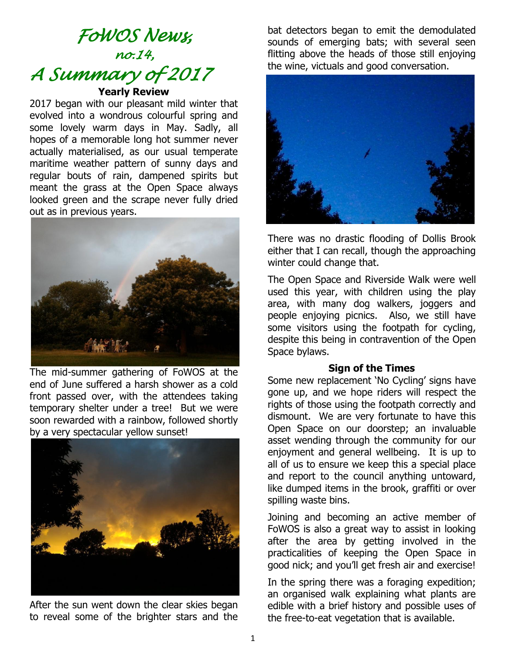# *FoWOS News, no.14, A Summary of 2017*  **Yearly Review**

2017 began with our pleasant mild winter that evolved into a wondrous colourful spring and some lovely warm days in May. Sadly, all hopes of a memorable long hot summer never actually materialised, as our usual temperate maritime weather pattern of sunny days and regular bouts of rain, dampened spirits but meant the grass at the Open Space always looked green and the scrape never fully dried out as in previous years.



The mid-summer gathering of FoWOS at the end of June suffered a harsh shower as a cold front passed over, with the attendees taking temporary shelter under a tree! But we were soon rewarded with a rainbow, followed shortly by a very spectacular yellow sunset!



After the sun went down the clear skies began to reveal some of the brighter stars and the

bat detectors began to emit the demodulated sounds of emerging bats; with several seen flitting above the heads of those still enjoying the wine, victuals and good conversation.



There was no drastic flooding of Dollis Brook either that I can recall, though the approaching winter could change that.

The Open Space and Riverside Walk were well used this year, with children using the play area, with many dog walkers, joggers and people enjoying picnics. Also, we still have some visitors using the footpath for cycling, despite this being in contravention of the Open Space bylaws.

#### **Sign of the Times**

Some new replacement 'No Cycling' signs have gone up, and we hope riders will respect the rights of those using the footpath correctly and dismount. We are very fortunate to have this Open Space on our doorstep; an invaluable asset wending through the community for our enjoyment and general wellbeing. It is up to all of us to ensure we keep this a special place and report to the council anything untoward, like dumped items in the brook, graffiti or over spilling waste bins.

Joining and becoming an active member of FoWOS is also a great way to assist in looking after the area by getting involved in the practicalities of keeping the Open Space in good nick; and you'll get fresh air and exercise!

In the spring there was a foraging expedition; an organised walk explaining what plants are edible with a brief history and possible uses of the free-to-eat vegetation that is available.